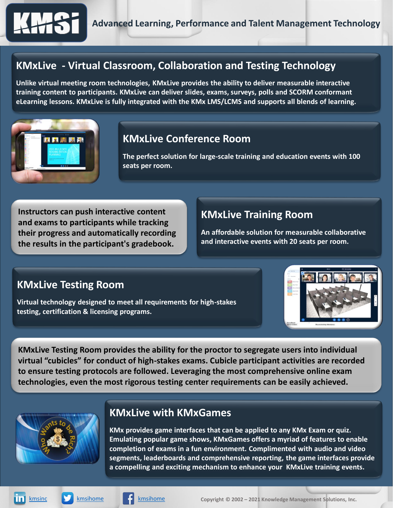

# **KMxLive - Virtual Classroom, Collaboration and Testing Technology**

**Unlike virtual meeting room technologies, KMxLive provides the ability to deliver measurable interactive training content to participants. KMxLive can deliver slides, exams, surveys, polls and SCORM conformant eLearning lessons. KMxLive is fully integrated with the KMx LMS/LCMS and supports all blends of learning.**



#### **KMxLive Conference Room**

**The perfect solution for large-scale training and education events with 100 seats per room.**

**Instructors can push interactive content and exams to participants while tracking their progress and automatically recording the results in the participant's gradebook.**

### **KMxLive Training Room**

**An affordable solution for measurable collaborative and interactive events with 20 seats per room.**

#### **KMxLive Testing Room**

**Virtual technology designed to meet all requirements for high-stakes testing, certification & licensing programs.**



**KMxLive Testing Room provides the ability for the proctor to segregate users into individual virtual "cubicles" for conduct of high-stakes exams. Cubicle participant activities are recorded to ensure testing protocols are followed. Leveraging the most comprehensive online exam technologies, even the most rigorous testing center requirements can be easily achieved.**



#### **KMxLive with KMxGames**

**KMx provides game interfaces that can be applied to any KMx Exam or quiz. Emulating popular game shows, KMxGames offers a myriad of features to enable completion of exams in a fun environment. Complimented with audio and video segments, leaderboards and comprehensive reporting, the game interfaces provide a compelling and exciting mechanism to enhance your KMxLive training events.**